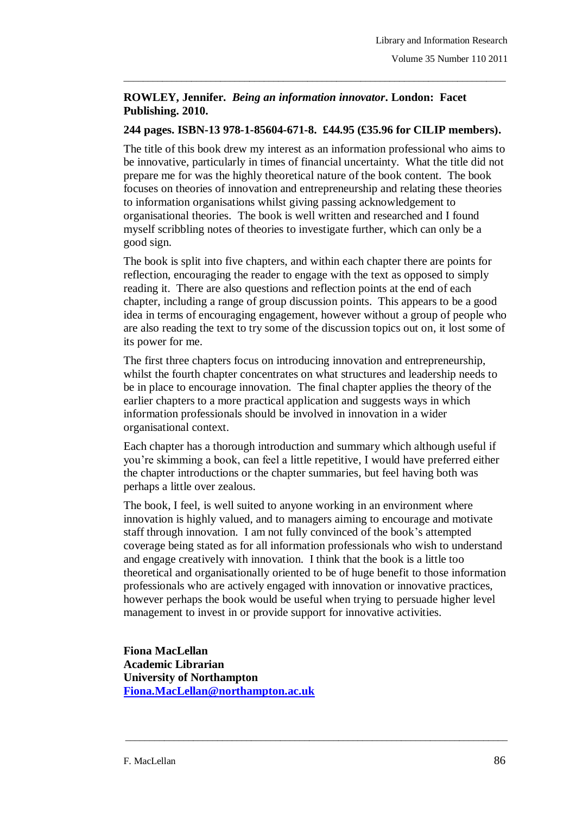## **ROWLEY, Jennifer.** *Being an information innovator***. London: Facet Publishing. 2010.**

## **244 pages. ISBN-13 978-1-85604-671-8. £44.95 (£35.96 for CILIP members).**

\_\_\_\_\_\_\_\_\_\_\_\_\_\_\_\_\_\_\_\_\_\_\_\_\_\_\_\_\_\_\_\_\_\_\_\_\_\_\_\_\_\_\_\_\_\_\_\_\_\_\_\_\_\_\_\_\_\_\_\_\_\_\_\_\_\_\_\_\_\_\_\_\_\_\_\_\_\_\_

The title of this book drew my interest as an information professional who aims to be innovative, particularly in times of financial uncertainty. What the title did not prepare me for was the highly theoretical nature of the book content. The book focuses on theories of innovation and entrepreneurship and relating these theories to information organisations whilst giving passing acknowledgement to organisational theories. The book is well written and researched and I found myself scribbling notes of theories to investigate further, which can only be a good sign.

The book is split into five chapters, and within each chapter there are points for reflection, encouraging the reader to engage with the text as opposed to simply reading it. There are also questions and reflection points at the end of each chapter, including a range of group discussion points. This appears to be a good idea in terms of encouraging engagement, however without a group of people who are also reading the text to try some of the discussion topics out on, it lost some of its power for me.

The first three chapters focus on introducing innovation and entrepreneurship, whilst the fourth chapter concentrates on what structures and leadership needs to be in place to encourage innovation. The final chapter applies the theory of the earlier chapters to a more practical application and suggests ways in which information professionals should be involved in innovation in a wider organisational context.

Each chapter has a thorough introduction and summary which although useful if you're skimming a book, can feel a little repetitive, I would have preferred either the chapter introductions or the chapter summaries, but feel having both was perhaps a little over zealous.

The book, I feel, is well suited to anyone working in an environment where innovation is highly valued, and to managers aiming to encourage and motivate staff through innovation. I am not fully convinced of the book's attempted coverage being stated as for all information professionals who wish to understand and engage creatively with innovation. I think that the book is a little too theoretical and organisationally oriented to be of huge benefit to those information professionals who are actively engaged with innovation or innovative practices, however perhaps the book would be useful when trying to persuade higher level management to invest in or provide support for innovative activities.

\_\_\_\_\_\_\_\_\_\_\_\_\_\_\_\_\_\_\_\_\_\_\_\_\_\_\_\_\_\_\_\_\_\_\_\_\_\_\_\_\_\_\_\_\_\_\_\_\_\_\_\_\_\_\_\_\_\_\_\_\_\_\_\_\_\_\_\_\_\_\_\_\_\_\_\_\_\_\_

**Fiona MacLellan Academic Librarian University of Northampton [Fiona.MacLellan@northampton.ac.uk](mailto:Fiona.MacLellan@northampton.ac.uk)**